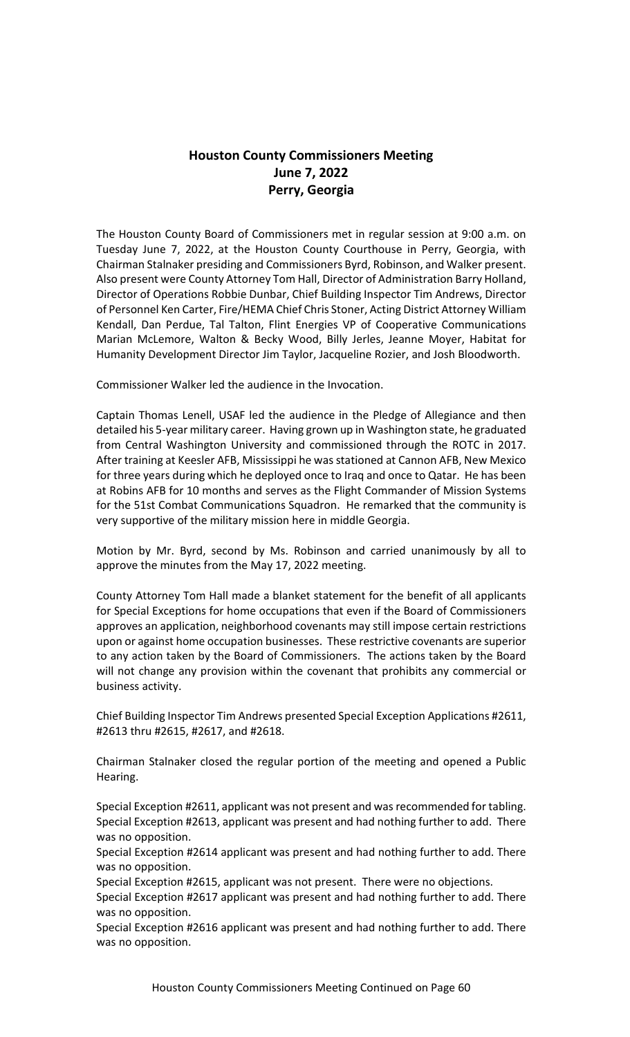# **Houston County Commissioners Meeting June 7, 2022 Perry, Georgia**

The Houston County Board of Commissioners met in regular session at 9:00 a.m. on Tuesday June 7, 2022, at the Houston County Courthouse in Perry, Georgia, with Chairman Stalnaker presiding and Commissioners Byrd, Robinson, and Walker present. Also present were County Attorney Tom Hall, Director of Administration Barry Holland, Director of Operations Robbie Dunbar, Chief Building Inspector Tim Andrews, Director of Personnel Ken Carter, Fire/HEMA Chief Chris Stoner, Acting District Attorney William Kendall, Dan Perdue, Tal Talton, Flint Energies VP of Cooperative Communications Marian McLemore, Walton & Becky Wood, Billy Jerles, Jeanne Moyer, Habitat for Humanity Development Director Jim Taylor, Jacqueline Rozier, and Josh Bloodworth.

Commissioner Walker led the audience in the Invocation.

Captain Thomas Lenell, USAF led the audience in the Pledge of Allegiance and then detailed his 5-year military career. Having grown up in Washington state, he graduated from Central Washington University and commissioned through the ROTC in 2017. After training at Keesler AFB, Mississippi he was stationed at Cannon AFB, New Mexico for three years during which he deployed once to Iraq and once to Qatar. He has been at Robins AFB for 10 months and serves as the Flight Commander of Mission Systems for the 51st Combat Communications Squadron. He remarked that the community is very supportive of the military mission here in middle Georgia.

Motion by Mr. Byrd, second by Ms. Robinson and carried unanimously by all to approve the minutes from the May 17, 2022 meeting.

County Attorney Tom Hall made a blanket statement for the benefit of all applicants for Special Exceptions for home occupations that even if the Board of Commissioners approves an application, neighborhood covenants may still impose certain restrictions upon or against home occupation businesses. These restrictive covenants are superior to any action taken by the Board of Commissioners. The actions taken by the Board will not change any provision within the covenant that prohibits any commercial or business activity.

Chief Building Inspector Tim Andrews presented Special Exception Applications #2611, #2613 thru #2615, #2617, and #2618.

Chairman Stalnaker closed the regular portion of the meeting and opened a Public Hearing.

Special Exception #2611, applicant was not present and was recommended for tabling. Special Exception #2613, applicant was present and had nothing further to add. There was no opposition.

Special Exception #2614 applicant was present and had nothing further to add. There was no opposition.

Special Exception #2615, applicant was not present. There were no objections.

Special Exception #2617 applicant was present and had nothing further to add. There was no opposition.

Special Exception #2616 applicant was present and had nothing further to add. There was no opposition.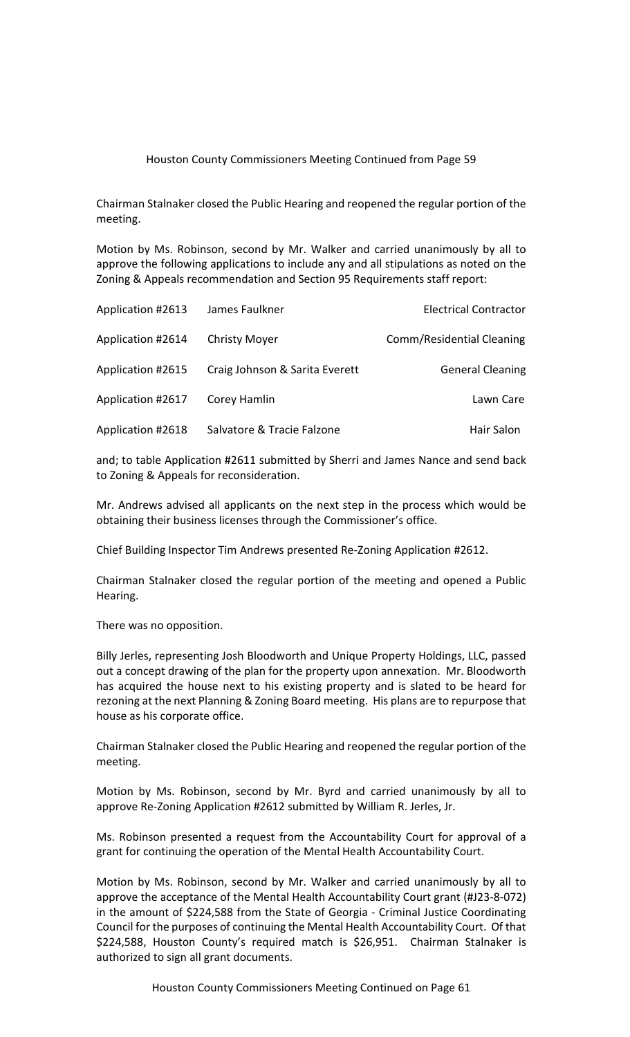Chairman Stalnaker closed the Public Hearing and reopened the regular portion of the meeting.

Motion by Ms. Robinson, second by Mr. Walker and carried unanimously by all to approve the following applications to include any and all stipulations as noted on the Zoning & Appeals recommendation and Section 95 Requirements staff report:

| Application #2613 | James Faulkner                 | <b>Electrical Contractor</b> |
|-------------------|--------------------------------|------------------------------|
| Application #2614 | <b>Christy Moyer</b>           | Comm/Residential Cleaning    |
| Application #2615 | Craig Johnson & Sarita Everett | <b>General Cleaning</b>      |
| Application #2617 | Corey Hamlin                   | Lawn Care                    |
| Application #2618 | Salvatore & Tracie Falzone     | Hair Salon                   |

and; to table Application #2611 submitted by Sherri and James Nance and send back to Zoning & Appeals for reconsideration.

Mr. Andrews advised all applicants on the next step in the process which would be obtaining their business licenses through the Commissioner's office.

Chief Building Inspector Tim Andrews presented Re-Zoning Application #2612.

Chairman Stalnaker closed the regular portion of the meeting and opened a Public Hearing.

There was no opposition.

Billy Jerles, representing Josh Bloodworth and Unique Property Holdings, LLC, passed out a concept drawing of the plan for the property upon annexation. Mr. Bloodworth has acquired the house next to his existing property and is slated to be heard for rezoning at the next Planning & Zoning Board meeting. His plans are to repurpose that house as his corporate office.

Chairman Stalnaker closed the Public Hearing and reopened the regular portion of the meeting.

Motion by Ms. Robinson, second by Mr. Byrd and carried unanimously by all to approve Re-Zoning Application #2612 submitted by William R. Jerles, Jr.

Ms. Robinson presented a request from the Accountability Court for approval of a grant for continuing the operation of the Mental Health Accountability Court.

Motion by Ms. Robinson, second by Mr. Walker and carried unanimously by all to approve the acceptance of the Mental Health Accountability Court grant (#J23-8-072) in the amount of \$224,588 from the State of Georgia - Criminal Justice Coordinating Council for the purposes of continuing the Mental Health Accountability Court. Of that \$224,588, Houston County's required match is \$26,951. Chairman Stalnaker is authorized to sign all grant documents.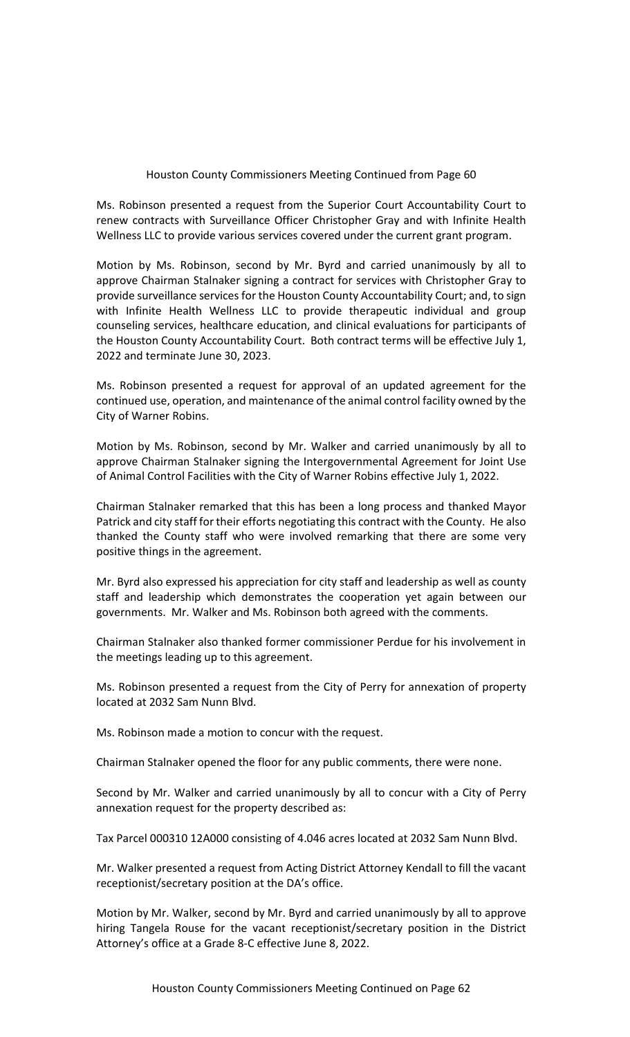Ms. Robinson presented a request from the Superior Court Accountability Court to renew contracts with Surveillance Officer Christopher Gray and with Infinite Health Wellness LLC to provide various services covered under the current grant program.

Motion by Ms. Robinson, second by Mr. Byrd and carried unanimously by all to approve Chairman Stalnaker signing a contract for services with Christopher Gray to provide surveillance services for the Houston County Accountability Court; and, to sign with Infinite Health Wellness LLC to provide therapeutic individual and group counseling services, healthcare education, and clinical evaluations for participants of the Houston County Accountability Court. Both contract terms will be effective July 1, 2022 and terminate June 30, 2023.

Ms. Robinson presented a request for approval of an updated agreement for the continued use, operation, and maintenance of the animal control facility owned by the City of Warner Robins.

Motion by Ms. Robinson, second by Mr. Walker and carried unanimously by all to approve Chairman Stalnaker signing the Intergovernmental Agreement for Joint Use of Animal Control Facilities with the City of Warner Robins effective July 1, 2022.

Chairman Stalnaker remarked that this has been a long process and thanked Mayor Patrick and city staff for their efforts negotiating this contract with the County. He also thanked the County staff who were involved remarking that there are some very positive things in the agreement.

Mr. Byrd also expressed his appreciation for city staff and leadership as well as county staff and leadership which demonstrates the cooperation yet again between our governments. Mr. Walker and Ms. Robinson both agreed with the comments.

Chairman Stalnaker also thanked former commissioner Perdue for his involvement in the meetings leading up to this agreement.

Ms. Robinson presented a request from the City of Perry for annexation of property located at 2032 Sam Nunn Blvd.

Ms. Robinson made a motion to concur with the request.

Chairman Stalnaker opened the floor for any public comments, there were none.

Second by Mr. Walker and carried unanimously by all to concur with a City of Perry annexation request for the property described as:

Tax Parcel 000310 12A000 consisting of 4.046 acres located at 2032 Sam Nunn Blvd.

Mr. Walker presented a request from Acting District Attorney Kendall to fill the vacant receptionist/secretary position at the DA's office.

Motion by Mr. Walker, second by Mr. Byrd and carried unanimously by all to approve hiring Tangela Rouse for the vacant receptionist/secretary position in the District Attorney's office at a Grade 8-C effective June 8, 2022.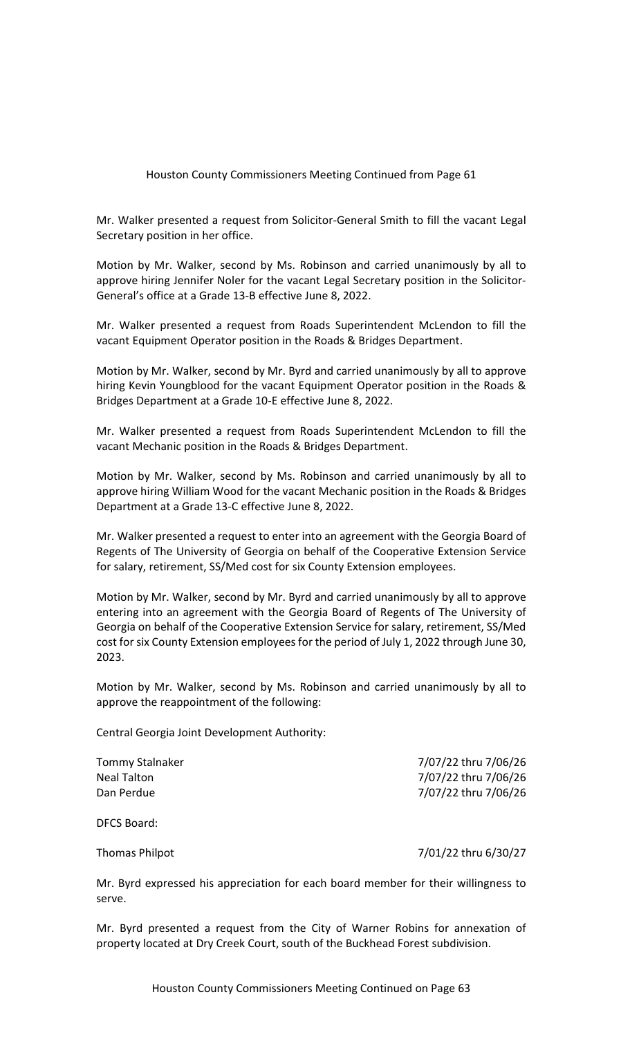Mr. Walker presented a request from Solicitor-General Smith to fill the vacant Legal Secretary position in her office.

Motion by Mr. Walker, second by Ms. Robinson and carried unanimously by all to approve hiring Jennifer Noler for the vacant Legal Secretary position in the Solicitor-General's office at a Grade 13-B effective June 8, 2022.

Mr. Walker presented a request from Roads Superintendent McLendon to fill the vacant Equipment Operator position in the Roads & Bridges Department.

Motion by Mr. Walker, second by Mr. Byrd and carried unanimously by all to approve hiring Kevin Youngblood for the vacant Equipment Operator position in the Roads & Bridges Department at a Grade 10-E effective June 8, 2022.

Mr. Walker presented a request from Roads Superintendent McLendon to fill the vacant Mechanic position in the Roads & Bridges Department.

Motion by Mr. Walker, second by Ms. Robinson and carried unanimously by all to approve hiring William Wood for the vacant Mechanic position in the Roads & Bridges Department at a Grade 13-C effective June 8, 2022.

Mr. Walker presented a request to enter into an agreement with the Georgia Board of Regents of The University of Georgia on behalf of the Cooperative Extension Service for salary, retirement, SS/Med cost for six County Extension employees.

Motion by Mr. Walker, second by Mr. Byrd and carried unanimously by all to approve entering into an agreement with the Georgia Board of Regents of The University of Georgia on behalf of the Cooperative Extension Service for salary, retirement, SS/Med cost for six County Extension employees for the period of July 1, 2022 through June 30, 2023.

Motion by Mr. Walker, second by Ms. Robinson and carried unanimously by all to approve the reappointment of the following:

Central Georgia Joint Development Authority:

| Tommy Stalnaker | 7/07/22 thru 7/06/26 |
|-----------------|----------------------|
| Neal Talton     | 7/07/22 thru 7/06/26 |
| Dan Perdue      | 7/07/22 thru 7/06/26 |
|                 |                      |

DFCS Board:

Thomas Philpot 7/01/22 thru 6/30/27

Mr. Byrd expressed his appreciation for each board member for their willingness to serve.

Mr. Byrd presented a request from the City of Warner Robins for annexation of property located at Dry Creek Court, south of the Buckhead Forest subdivision.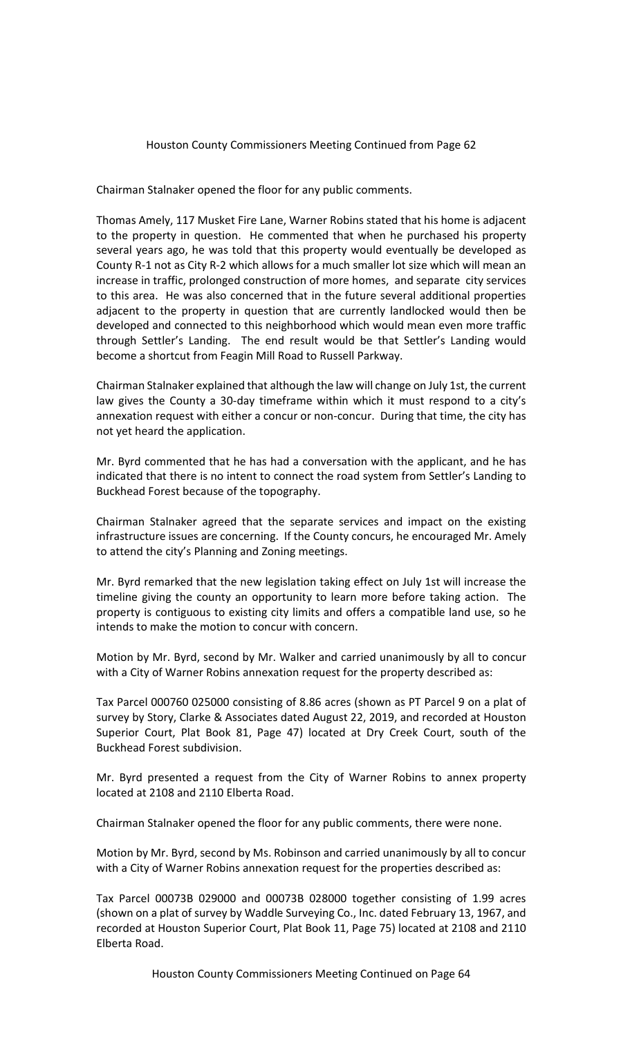Chairman Stalnaker opened the floor for any public comments.

Thomas Amely, 117 Musket Fire Lane, Warner Robins stated that his home is adjacent to the property in question. He commented that when he purchased his property several years ago, he was told that this property would eventually be developed as County R-1 not as City R-2 which allows for a much smaller lot size which will mean an increase in traffic, prolonged construction of more homes, and separate city services to this area. He was also concerned that in the future several additional properties adjacent to the property in question that are currently landlocked would then be developed and connected to this neighborhood which would mean even more traffic through Settler's Landing. The end result would be that Settler's Landing would become a shortcut from Feagin Mill Road to Russell Parkway.

Chairman Stalnaker explained that although the law will change on July 1st, the current law gives the County a 30-day timeframe within which it must respond to a city's annexation request with either a concur or non-concur. During that time, the city has not yet heard the application.

Mr. Byrd commented that he has had a conversation with the applicant, and he has indicated that there is no intent to connect the road system from Settler's Landing to Buckhead Forest because of the topography.

Chairman Stalnaker agreed that the separate services and impact on the existing infrastructure issues are concerning. If the County concurs, he encouraged Mr. Amely to attend the city's Planning and Zoning meetings.

Mr. Byrd remarked that the new legislation taking effect on July 1st will increase the timeline giving the county an opportunity to learn more before taking action. The property is contiguous to existing city limits and offers a compatible land use, so he intends to make the motion to concur with concern.

Motion by Mr. Byrd, second by Mr. Walker and carried unanimously by all to concur with a City of Warner Robins annexation request for the property described as:

Tax Parcel 000760 025000 consisting of 8.86 acres (shown as PT Parcel 9 on a plat of survey by Story, Clarke & Associates dated August 22, 2019, and recorded at Houston Superior Court, Plat Book 81, Page 47) located at Dry Creek Court, south of the Buckhead Forest subdivision.

Mr. Byrd presented a request from the City of Warner Robins to annex property located at 2108 and 2110 Elberta Road.

Chairman Stalnaker opened the floor for any public comments, there were none.

Motion by Mr. Byrd, second by Ms. Robinson and carried unanimously by all to concur with a City of Warner Robins annexation request for the properties described as:

Tax Parcel 00073B 029000 and 00073B 028000 together consisting of 1.99 acres (shown on a plat of survey by Waddle Surveying Co., Inc. dated February 13, 1967, and recorded at Houston Superior Court, Plat Book 11, Page 75) located at 2108 and 2110 Elberta Road.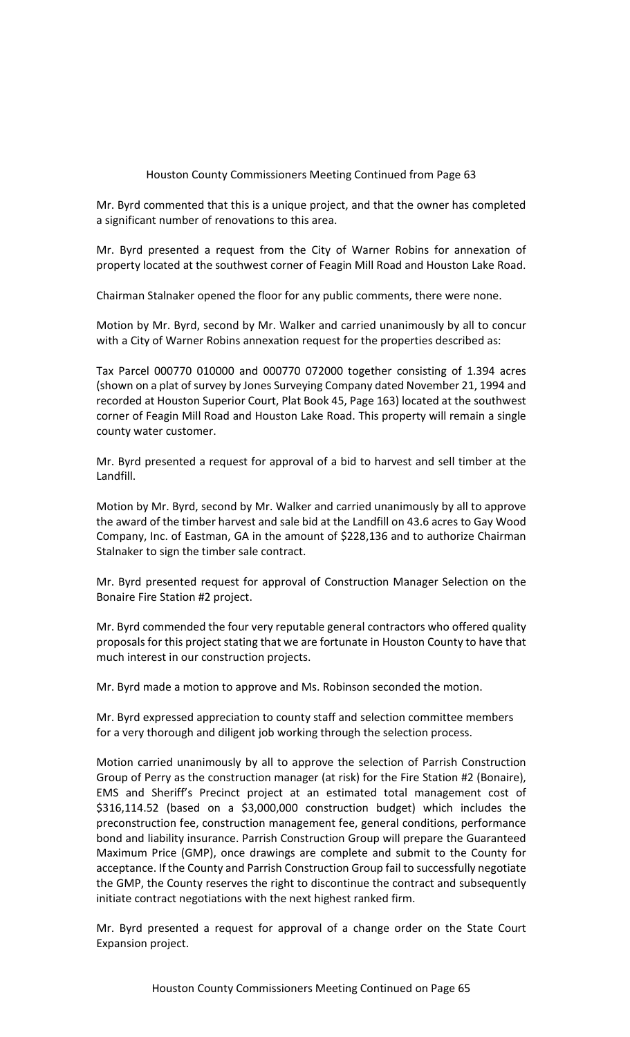Mr. Byrd commented that this is a unique project, and that the owner has completed a significant number of renovations to this area.

Mr. Byrd presented a request from the City of Warner Robins for annexation of property located at the southwest corner of Feagin Mill Road and Houston Lake Road.

Chairman Stalnaker opened the floor for any public comments, there were none.

Motion by Mr. Byrd, second by Mr. Walker and carried unanimously by all to concur with a City of Warner Robins annexation request for the properties described as:

Tax Parcel 000770 010000 and 000770 072000 together consisting of 1.394 acres (shown on a plat of survey by Jones Surveying Company dated November 21, 1994 and recorded at Houston Superior Court, Plat Book 45, Page 163) located at the southwest corner of Feagin Mill Road and Houston Lake Road. This property will remain a single county water customer.

Mr. Byrd presented a request for approval of a bid to harvest and sell timber at the Landfill.

Motion by Mr. Byrd, second by Mr. Walker and carried unanimously by all to approve the award of the timber harvest and sale bid at the Landfill on 43.6 acres to Gay Wood Company, Inc. of Eastman, GA in the amount of \$228,136 and to authorize Chairman Stalnaker to sign the timber sale contract.

Mr. Byrd presented request for approval of Construction Manager Selection on the Bonaire Fire Station #2 project.

Mr. Byrd commended the four very reputable general contractors who offered quality proposals for this project stating that we are fortunate in Houston County to have that much interest in our construction projects.

Mr. Byrd made a motion to approve and Ms. Robinson seconded the motion.

Mr. Byrd expressed appreciation to county staff and selection committee members for a very thorough and diligent job working through the selection process.

Motion carried unanimously by all to approve the selection of Parrish Construction Group of Perry as the construction manager (at risk) for the Fire Station #2 (Bonaire), EMS and Sheriff's Precinct project at an estimated total management cost of \$316,114.52 (based on a \$3,000,000 construction budget) which includes the preconstruction fee, construction management fee, general conditions, performance bond and liability insurance. Parrish Construction Group will prepare the Guaranteed Maximum Price (GMP), once drawings are complete and submit to the County for acceptance. If the County and Parrish Construction Group fail to successfully negotiate the GMP, the County reserves the right to discontinue the contract and subsequently initiate contract negotiations with the next highest ranked firm.

Mr. Byrd presented a request for approval of a change order on the State Court Expansion project.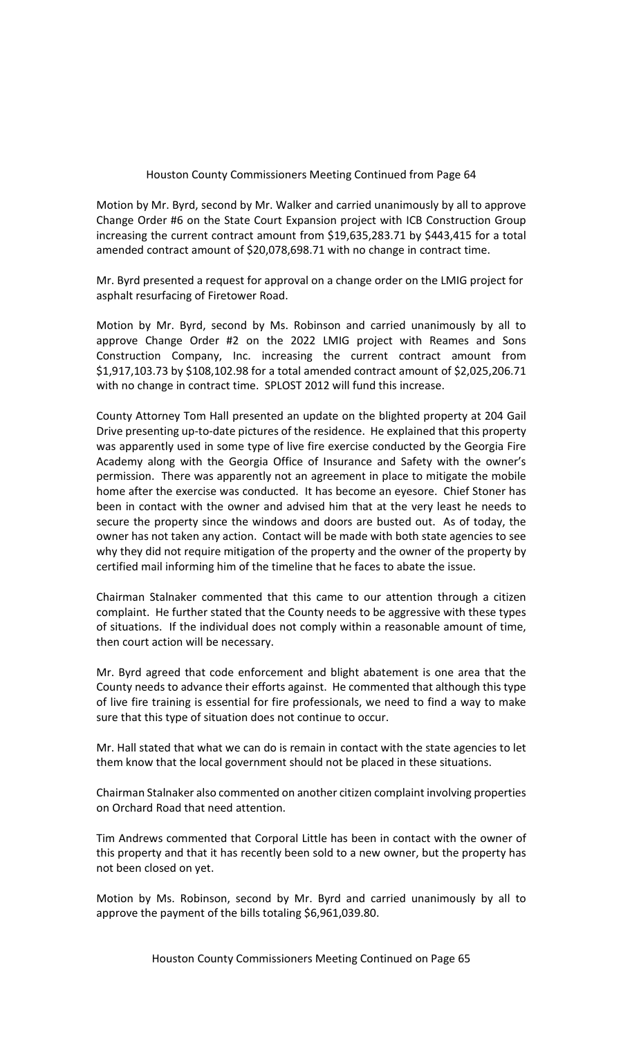Motion by Mr. Byrd, second by Mr. Walker and carried unanimously by all to approve Change Order #6 on the State Court Expansion project with ICB Construction Group increasing the current contract amount from \$19,635,283.71 by \$443,415 for a total amended contract amount of \$20,078,698.71 with no change in contract time.

Mr. Byrd presented a request for approval on a change order on the LMIG project for asphalt resurfacing of Firetower Road.

Motion by Mr. Byrd, second by Ms. Robinson and carried unanimously by all to approve Change Order #2 on the 2022 LMIG project with Reames and Sons Construction Company, Inc. increasing the current contract amount from \$1,917,103.73 by \$108,102.98 for a total amended contract amount of \$2,025,206.71 with no change in contract time. SPLOST 2012 will fund this increase.

County Attorney Tom Hall presented an update on the blighted property at 204 Gail Drive presenting up-to-date pictures of the residence. He explained that this property was apparently used in some type of live fire exercise conducted by the Georgia Fire Academy along with the Georgia Office of Insurance and Safety with the owner's permission. There was apparently not an agreement in place to mitigate the mobile home after the exercise was conducted. It has become an eyesore. Chief Stoner has been in contact with the owner and advised him that at the very least he needs to secure the property since the windows and doors are busted out. As of today, the owner has not taken any action. Contact will be made with both state agencies to see why they did not require mitigation of the property and the owner of the property by certified mail informing him of the timeline that he faces to abate the issue.

Chairman Stalnaker commented that this came to our attention through a citizen complaint. He further stated that the County needs to be aggressive with these types of situations. If the individual does not comply within a reasonable amount of time, then court action will be necessary.

Mr. Byrd agreed that code enforcement and blight abatement is one area that the County needs to advance their efforts against. He commented that although this type of live fire training is essential for fire professionals, we need to find a way to make sure that this type of situation does not continue to occur.

Mr. Hall stated that what we can do is remain in contact with the state agencies to let them know that the local government should not be placed in these situations.

Chairman Stalnaker also commented on another citizen complaint involving properties on Orchard Road that need attention.

Tim Andrews commented that Corporal Little has been in contact with the owner of this property and that it has recently been sold to a new owner, but the property has not been closed on yet.

Motion by Ms. Robinson, second by Mr. Byrd and carried unanimously by all to approve the payment of the bills totaling \$6,961,039.80.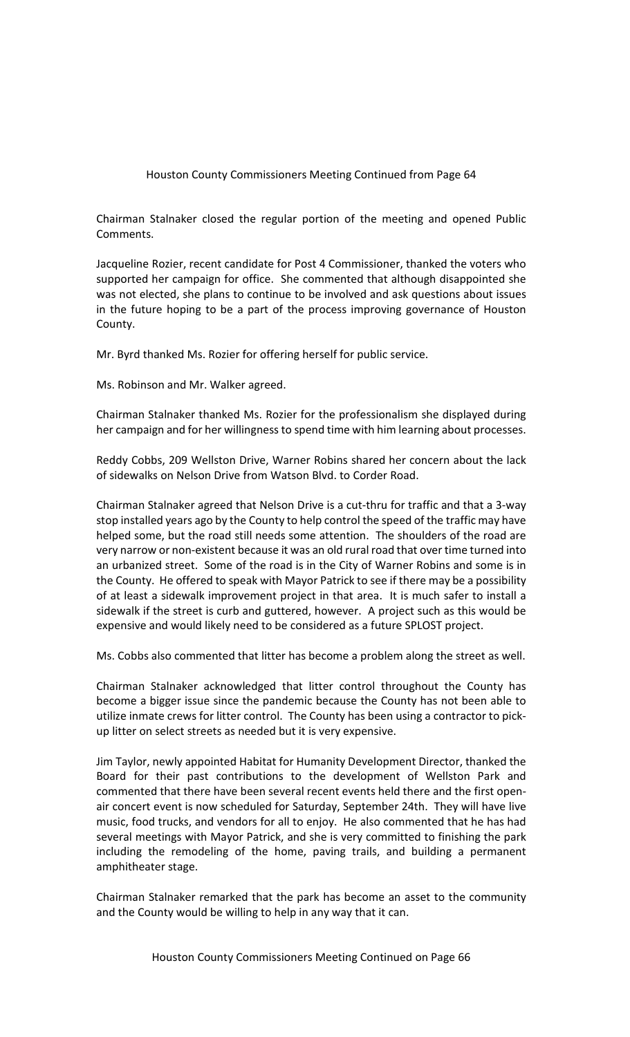Chairman Stalnaker closed the regular portion of the meeting and opened Public Comments.

Jacqueline Rozier, recent candidate for Post 4 Commissioner, thanked the voters who supported her campaign for office. She commented that although disappointed she was not elected, she plans to continue to be involved and ask questions about issues in the future hoping to be a part of the process improving governance of Houston County.

Mr. Byrd thanked Ms. Rozier for offering herself for public service.

Ms. Robinson and Mr. Walker agreed.

Chairman Stalnaker thanked Ms. Rozier for the professionalism she displayed during her campaign and for her willingness to spend time with him learning about processes.

Reddy Cobbs, 209 Wellston Drive, Warner Robins shared her concern about the lack of sidewalks on Nelson Drive from Watson Blvd. to Corder Road.

Chairman Stalnaker agreed that Nelson Drive is a cut-thru for traffic and that a 3-way stop installed years ago by the County to help control the speed of the traffic may have helped some, but the road still needs some attention. The shoulders of the road are very narrow or non-existent because it was an old rural road that over time turned into an urbanized street. Some of the road is in the City of Warner Robins and some is in the County. He offered to speak with Mayor Patrick to see if there may be a possibility of at least a sidewalk improvement project in that area. It is much safer to install a sidewalk if the street is curb and guttered, however. A project such as this would be expensive and would likely need to be considered as a future SPLOST project.

Ms. Cobbs also commented that litter has become a problem along the street as well.

Chairman Stalnaker acknowledged that litter control throughout the County has become a bigger issue since the pandemic because the County has not been able to utilize inmate crews for litter control. The County has been using a contractor to pickup litter on select streets as needed but it is very expensive.

Jim Taylor, newly appointed Habitat for Humanity Development Director, thanked the Board for their past contributions to the development of Wellston Park and commented that there have been several recent events held there and the first openair concert event is now scheduled for Saturday, September 24th. They will have live music, food trucks, and vendors for all to enjoy. He also commented that he has had several meetings with Mayor Patrick, and she is very committed to finishing the park including the remodeling of the home, paving trails, and building a permanent amphitheater stage.

Chairman Stalnaker remarked that the park has become an asset to the community and the County would be willing to help in any way that it can.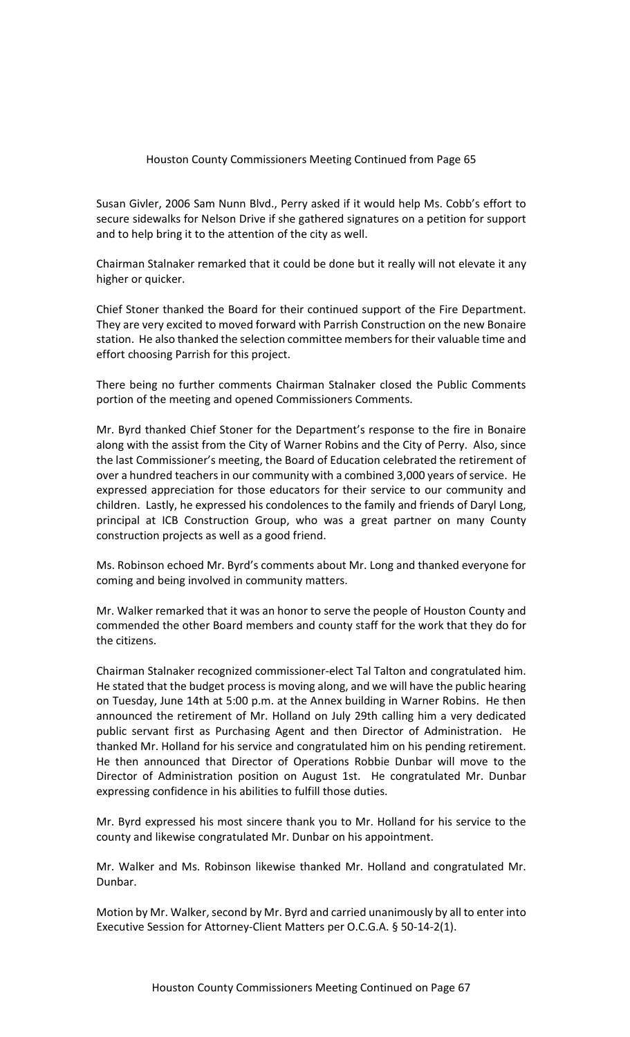Susan Givler, 2006 Sam Nunn Blvd., Perry asked if it would help Ms. Cobb's effort to secure sidewalks for Nelson Drive if she gathered signatures on a petition for support and to help bring it to the attention of the city as well.

Chairman Stalnaker remarked that it could be done but it really will not elevate it any higher or quicker.

Chief Stoner thanked the Board for their continued support of the Fire Department. They are very excited to moved forward with Parrish Construction on the new Bonaire station. He also thanked the selection committee members for their valuable time and effort choosing Parrish for this project.

There being no further comments Chairman Stalnaker closed the Public Comments portion of the meeting and opened Commissioners Comments.

Mr. Byrd thanked Chief Stoner for the Department's response to the fire in Bonaire along with the assist from the City of Warner Robins and the City of Perry. Also, since the last Commissioner's meeting, the Board of Education celebrated the retirement of over a hundred teachers in our community with a combined 3,000 years of service. He expressed appreciation for those educators for their service to our community and children. Lastly, he expressed his condolences to the family and friends of Daryl Long, principal at ICB Construction Group, who was a great partner on many County construction projects as well as a good friend.

Ms. Robinson echoed Mr. Byrd's comments about Mr. Long and thanked everyone for coming and being involved in community matters.

Mr. Walker remarked that it was an honor to serve the people of Houston County and commended the other Board members and county staff for the work that they do for the citizens.

Chairman Stalnaker recognized commissioner-elect Tal Talton and congratulated him. He stated that the budget process is moving along, and we will have the public hearing on Tuesday, June 14th at 5:00 p.m. at the Annex building in Warner Robins. He then announced the retirement of Mr. Holland on July 29th calling him a very dedicated public servant first as Purchasing Agent and then Director of Administration. He thanked Mr. Holland for his service and congratulated him on his pending retirement. He then announced that Director of Operations Robbie Dunbar will move to the Director of Administration position on August 1st. He congratulated Mr. Dunbar expressing confidence in his abilities to fulfill those duties.

Mr. Byrd expressed his most sincere thank you to Mr. Holland for his service to the county and likewise congratulated Mr. Dunbar on his appointment.

Mr. Walker and Ms. Robinson likewise thanked Mr. Holland and congratulated Mr. Dunbar.

Motion by Mr. Walker, second by Mr. Byrd and carried unanimously by all to enter into Executive Session for Attorney-Client Matters per O.C.G.A. § 50-14-2(1).